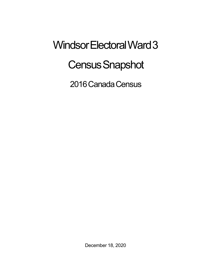## Windsor Electoral Ward 3 **Census Snapshot**

2016 Canada Census

December 18, 2020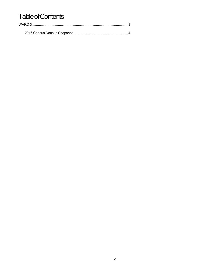## **Table of Contents**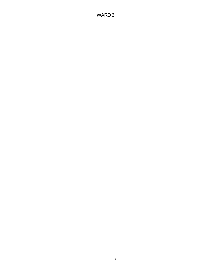## WARD 3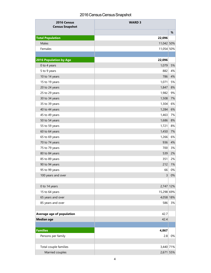## 2016 Census Census Snapshot

| 2016 Census<br><b>Census Snapshot</b> | <b>WARD 3</b> |       |
|---------------------------------------|---------------|-------|
|                                       |               | %     |
| <b>Total Population</b>               | 22,096        |       |
| Males                                 | 11,042 50%    |       |
| Females                               | 11,054 50%    |       |
|                                       |               |       |
| <b>2016 Population by Age</b>         | 22,096        |       |
| 0 to 4 years                          | 1,079         | 5%    |
| 5 to 9 years                          | 882           | 4%    |
| 10 to 14 years                        | 786           | 4%    |
| 15 to 19 years                        | 1,071         | 5%    |
| 20 to 24 years                        | 1,847         | 8%    |
| 25 to 29 years                        | 1,982         | 9%    |
| 30 to 34 years                        | 1,508         | 7%    |
| 35 to 39 years                        | 1,304         | 6%    |
| 40 to 44 years                        | 1,284         | 6%    |
| 45 to 49 years                        | 1,463         | 7%    |
| 50 to 54 years                        | 1,686         | 8%    |
| 55 to 59 years                        | 1,721         | 8%    |
| 60 to 64 years                        | 1,450         | 7%    |
| 65 to 69 years                        | 1,266         | 6%    |
| 70 to 74 years                        | 936           | 4%    |
| 75 to 79 years                        | 700           | 3%    |
| 80 to 84 years                        | 539           | 2%    |
| 85 to 89 years                        | 351           | 2%    |
| 90 to 94 years                        | 212           | 1%    |
| 95 to 99 years                        | 66            | 0%    |
| 100 years and over                    | 3             | 0%    |
|                                       |               |       |
| 0 to 14 years                         | 2,747 12%     |       |
| 15 to 64 years                        | 15,298 69%    |       |
| 65 years and over                     | 4,058 18%     |       |
| 85 years and over                     | 586           | 3%    |
| Average age of population             | 42.7          |       |
| <b>Median age</b>                     | 42.4          |       |
|                                       |               |       |
| <b>Families</b>                       | 4,867         |       |
| Persons per family                    | 2.8           | $0\%$ |
|                                       |               |       |
| Total couple families                 | 3,440 71%     |       |
| Married couples                       | 2,671 55%     |       |